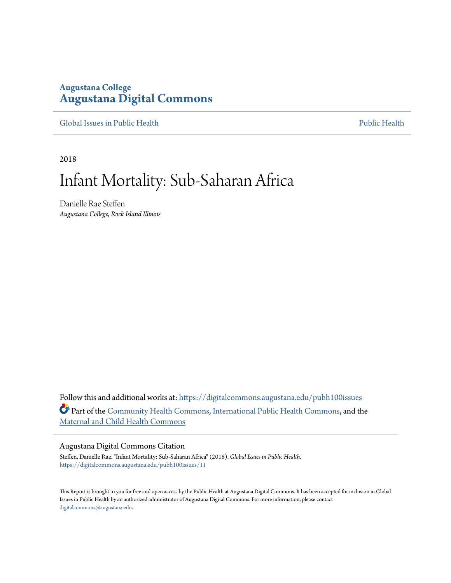## **Augustana College [Augustana Digital Commons](https://digitalcommons.augustana.edu?utm_source=digitalcommons.augustana.edu%2Fpubh100issues%2F11&utm_medium=PDF&utm_campaign=PDFCoverPages)**

[Global Issues in Public Health](https://digitalcommons.augustana.edu/pubh100issues?utm_source=digitalcommons.augustana.edu%2Fpubh100issues%2F11&utm_medium=PDF&utm_campaign=PDFCoverPages) [Public Health](https://digitalcommons.augustana.edu/publichealth?utm_source=digitalcommons.augustana.edu%2Fpubh100issues%2F11&utm_medium=PDF&utm_campaign=PDFCoverPages) Public Health Public Health Public Health

2018

# Infant Mortality: Sub-Saharan Africa

Danielle Rae Steffen *Augustana College, Rock Island Illinois*

Follow this and additional works at: [https://digitalcommons.augustana.edu/pubh100issues](https://digitalcommons.augustana.edu/pubh100issues?utm_source=digitalcommons.augustana.edu%2Fpubh100issues%2F11&utm_medium=PDF&utm_campaign=PDFCoverPages) Part of the [Community Health Commons](http://network.bepress.com/hgg/discipline/714?utm_source=digitalcommons.augustana.edu%2Fpubh100issues%2F11&utm_medium=PDF&utm_campaign=PDFCoverPages), [International Public Health Commons](http://network.bepress.com/hgg/discipline/746?utm_source=digitalcommons.augustana.edu%2Fpubh100issues%2F11&utm_medium=PDF&utm_campaign=PDFCoverPages), and the [Maternal and Child Health Commons](http://network.bepress.com/hgg/discipline/745?utm_source=digitalcommons.augustana.edu%2Fpubh100issues%2F11&utm_medium=PDF&utm_campaign=PDFCoverPages)

#### Augustana Digital Commons Citation

Steffen, Danielle Rae. "Infant Mortality: Sub-Saharan Africa" (2018). *Global Issues in Public Health.* [https://digitalcommons.augustana.edu/pubh100issues/11](https://digitalcommons.augustana.edu/pubh100issues/11?utm_source=digitalcommons.augustana.edu%2Fpubh100issues%2F11&utm_medium=PDF&utm_campaign=PDFCoverPages)

This Report is brought to you for free and open access by the Public Health at Augustana Digital Commons. It has been accepted for inclusion in Global Issues in Public Health by an authorized administrator of Augustana Digital Commons. For more information, please contact [digitalcommons@augustana.edu.](mailto:digitalcommons@augustana.edu)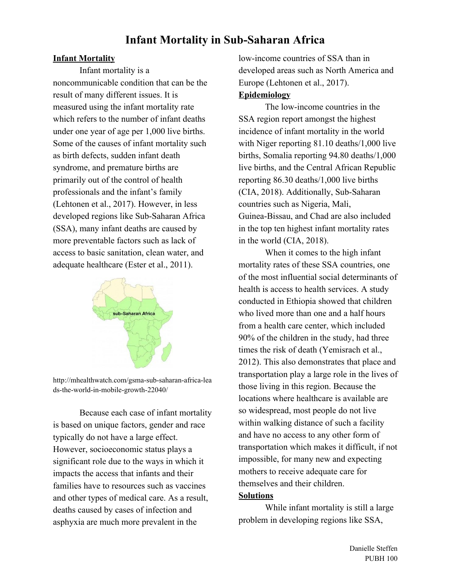# **Infant Mortality in Sub-Saharan Africa**

### **Infant Mortality**

Infant mortality is a noncommunicable condition that can be the result of many different issues. It is measured using the infant mortality rate which refers to the number of infant deaths under one year of age per 1,000 live births. Some of the causes of infant mortality such as birth defects, sudden infant death syndrome, and premature births are primarily out of the control of health professionals and the infant's family (Lehtonen et al., 2017). However, in less developed regions like Sub-Saharan Africa (SSA), many infant deaths are caused by more preventable factors such as lack of access to basic sanitation, clean water, and adequate healthcare (Ester et al., 2011).



http://mhealthwatch.com/gsma-sub-saharan-africa-lea ds-the-world-in-mobile-growth-22040/

Because each case of infant mortality is based on unique factors, gender and race typically do not have a large effect. However, socioeconomic status plays a significant role due to the ways in which it impacts the access that infants and their families have to resources such as vaccines and other types of medical care. As a result, deaths caused by cases of infection and asphyxia are much more prevalent in the

low-income countries of SSA than in developed areas such as North America and Europe (Lehtonen et al., 2017).

### **Epidemiology**

The low-income countries in the SSA region report amongst the highest incidence of infant mortality in the world with Niger reporting 81.10 deaths/1,000 live births, Somalia reporting 94.80 deaths/1,000 live births, and the Central African Republic reporting 86.30 deaths/1,000 live births (CIA, 2018). Additionally, Sub-Saharan countries such as Nigeria, Mali, Guinea-Bissau, and Chad are also included in the top ten highest infant mortality rates in the world (CIA, 2018).

When it comes to the high infant mortality rates of these SSA countries, one of the most influential social determinants of health is access to health services. A study conducted in Ethiopia showed that children who lived more than one and a half hours from a health care center, which included 90% of the children in the study, had three times the risk of death (Yemisrach et al., 2012). This also demonstrates that place and transportation play a large role in the lives of those living in this region. Because the locations where healthcare is available are so widespread, most people do not live within walking distance of such a facility and have no access to any other form of transportation which makes it difficult, if not impossible, for many new and expecting mothers to receive adequate care for themselves and their children. **Solutions**

While infant mortality is still a large problem in developing regions like SSA,